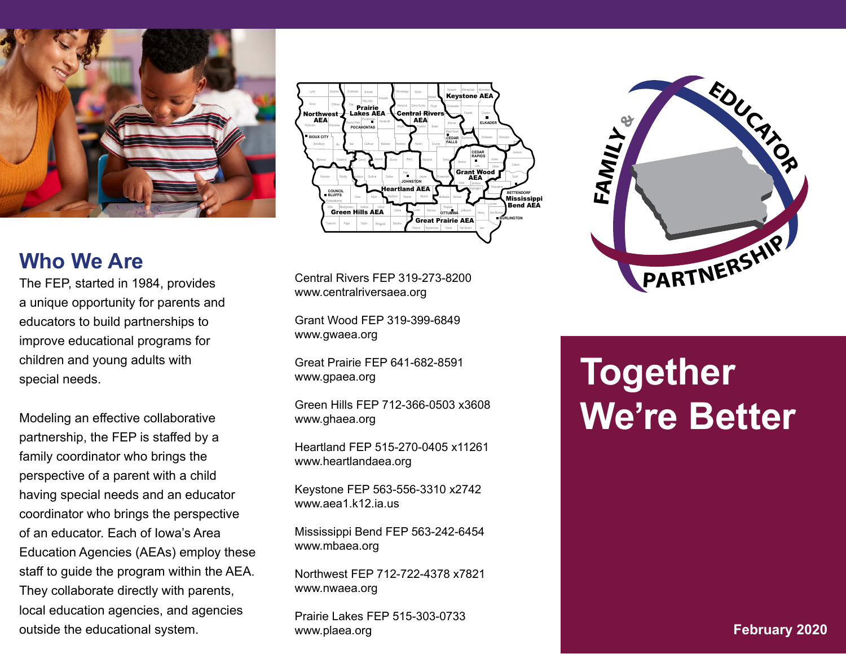

### **Who We Are**

The FEP, started in 1984, provides a unique opportunity for parents and educators to build partnerships to improve educational programs for children and young adults with special needs.

Modeling an effective collaborative partnership, the FEP is staffed by a family coordinator who brings the perspective of a parent with a child having special needs and an educator coordinator who brings the perspective of an educator. Each of Iowa's Area Education Agencies (AEAs) employ these staff to guide the program within the AEA. They collaborate directly with parents, local education agencies, and agencies outside the educational system.



Central Rivers FEP 319-273-8200 www.centralriversaea.org

Grant Wood FEP 319-399-6849 www.gwaea.org

Great Prairie FEP 641-682-8591 www.gpaea.org

Green Hills FEP 712-366-0503 x3608 www.ghaea.org

Heartland FEP 515-270-0405 x11261 www.heartlandaea.org

Keystone FEP 563-556-3310 x2742 www.aea1.k12.ia.us

Mississippi Bend FEP 563-242-6454 www.mbaea.org

Northwest FEP 712-722-4378 x7821 www.nwaea.org

Prairie Lakes FEP 515-303-0733 www.plaea.org



# **Together We're Better**

**February 2020**